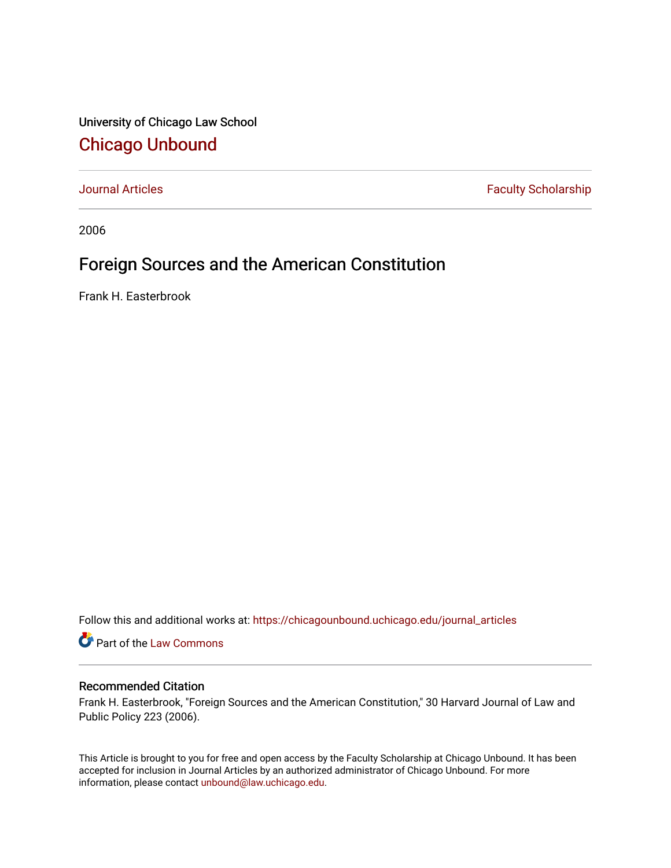University of Chicago Law School [Chicago Unbound](https://chicagounbound.uchicago.edu/)

[Journal Articles](https://chicagounbound.uchicago.edu/journal_articles) **Faculty Scholarship Faculty Scholarship** 

2006

## Foreign Sources and the American Constitution

Frank H. Easterbrook

Follow this and additional works at: [https://chicagounbound.uchicago.edu/journal\\_articles](https://chicagounbound.uchicago.edu/journal_articles?utm_source=chicagounbound.uchicago.edu%2Fjournal_articles%2F1178&utm_medium=PDF&utm_campaign=PDFCoverPages) 

Part of the [Law Commons](http://network.bepress.com/hgg/discipline/578?utm_source=chicagounbound.uchicago.edu%2Fjournal_articles%2F1178&utm_medium=PDF&utm_campaign=PDFCoverPages)

## Recommended Citation

Frank H. Easterbrook, "Foreign Sources and the American Constitution," 30 Harvard Journal of Law and Public Policy 223 (2006).

This Article is brought to you for free and open access by the Faculty Scholarship at Chicago Unbound. It has been accepted for inclusion in Journal Articles by an authorized administrator of Chicago Unbound. For more information, please contact [unbound@law.uchicago.edu](mailto:unbound@law.uchicago.edu).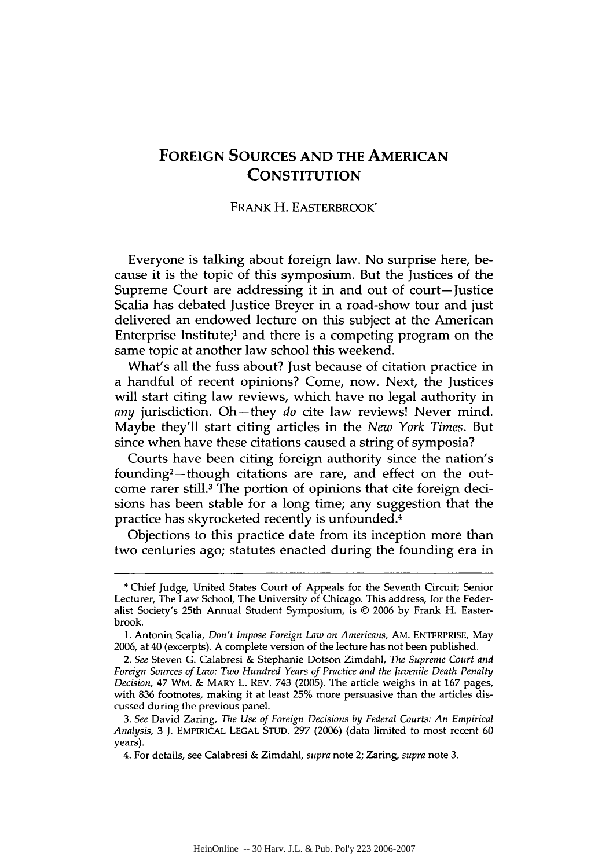## **FOREIGN SOURCES AND THE AMERICAN CONSTITUTION**

## FRANK H. EASTERBROOK\*

Everyone is talking about foreign law. No surprise here, because it is the topic of this symposium. But the Justices of the Supreme Court are addressing it in and out of court-Justice Scalia has debated Justice Breyer in a road-show tour and just delivered an endowed lecture on this subject at the American Enterprise Institute;' and there is a competing program on the same topic at another law school this weekend.

What's all the fuss about? Just because of citation practice in a handful of recent opinions? Come, now. Next, the Justices will start citing law reviews, which have no legal authority in *any* jurisdiction. Oh-they *do* cite law reviews! Never mind. Maybe they'll start citing articles in the *New York Times.* But since when have these citations caused a string of symposia?

Courts have been citing foreign authority since the nation's founding2- though citations are rare, and effect on the outcome rarer still.3 The portion of opinions that cite foreign decisions has been stable for a long time; any suggestion that the practice has skyrocketed recently is unfounded. <sup>4</sup>

Objections to this practice date from its inception more than two centuries ago; statutes enacted during the founding era in

**<sup>\*</sup>** Chief Judge, United States Court of Appeals for the Seventh Circuit; Senior Lecturer, The Law School, The University of Chicago. This address, for the Federalist Society's 25th Annual Student Symposium, is © **2006 by** Frank H. Easterbrook.

**<sup>1.</sup>** Antonin Scalia, *Don't Impose Foreign Law on Americans,* **AM.** ENTERPRISE, May **2006,** at 40 (excerpts). **A** complete version of the lecture has not been published.

*<sup>2.</sup> See* Steven **G.** Calabresi **&** Stephanie Dotson Zimdahl, *The Supreme Court and Foreign Sources of Law: Two Hundred Years of Practice and the Juvenile Death Penalty Decision,* 47 WM. **&** MARY L. REV. 743 **(2005).** The article weighs in at **167** pages, with **836** footnotes, making it at least **25%** more persuasive than the articles discussed during the previous panel.

*<sup>3.</sup> See* David Zaring, *The Use of Foreign Decisions by Federal Courts: An Empirical Analysis,* **3 J.** EMPIRICAL **LEGAL** STUD. **297 (2006)** (data limited to most recent **60** years).

<sup>4.</sup> For details, see Calabresi **&** Zimdahl, *supra* note 2; Zaring, *supra* note **3.**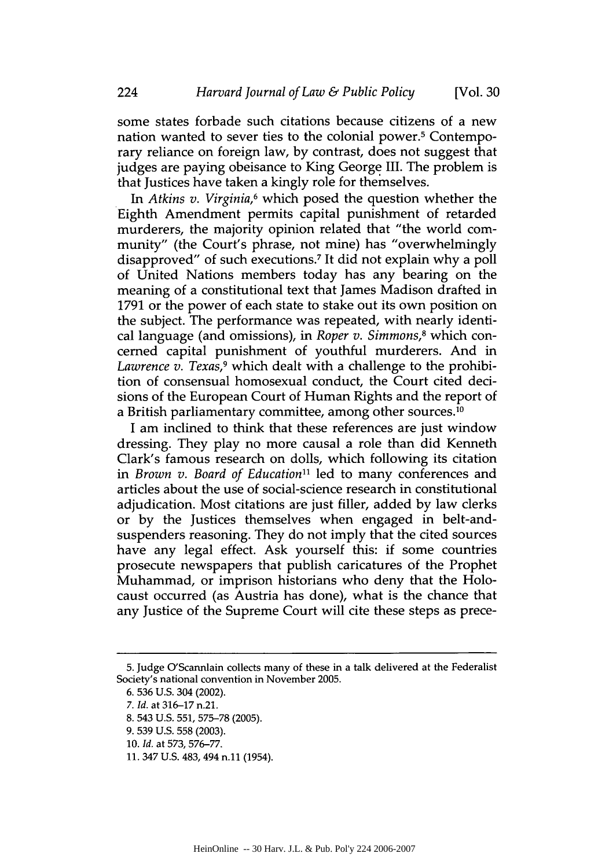some states forbade such citations because citizens of a new nation wanted to sever ties to the colonial power.<sup>5</sup> Contemporary reliance on foreign law, by contrast, does not suggest that judges are paying obeisance to King George III. The problem is that Justices have taken a kingly role for themselves.

*In Atkins v. Virginia,6* which posed the question whether the Eighth Amendment permits capital punishment of retarded murderers, the majority opinion related that "the world community" (the Court's phrase, not mine) has "overwhelmingly disapproved" of such executions.<sup>7</sup> It did not explain why a poll of United Nations members today has any bearing on the meaning of a constitutional text that James Madison drafted in 1791 or the power of each state to stake out its own position on the subject. The performance was repeated, with nearly identical language (and omissions), in *Roper v. Simmons,<sup>8</sup>*which concerned capital punishment of youthful murderers. And in *Lawrence v. Texas,<sup>9</sup>*which dealt with a challenge to the prohibition of consensual homosexual conduct, the Court cited decisions of the European Court of Human Rights and the report of a British parliamentary committee, among other sources. <sup>10</sup>

I am inclined to think that these references are just window dressing. They play no more causal a role than did Kenneth Clark's famous research on dolls, which following its citation in *Brown v. Board of Education*<sup>11</sup> led to many conferences and articles about the use of social-science research in constitutional adjudication. Most citations are just filler, added **by** law clerks or **by** the Justices themselves when engaged in belt-andsuspenders reasoning. They do not imply that the cited sources have any legal effect. Ask yourself this: if some countries prosecute newspapers that publish caricatures of the Prophet Muhammad, or imprison historians who deny that the Holocaust occurred (as Austria has done), what is the chance that any Justice of the Supreme Court will cite these steps as prece-

**<sup>5.</sup>** Judge O'Scannlain collects many of these in a talk delivered at the Federalist Society's national convention in November **2005.**

**<sup>6. 536</sup> U.S.** 304 (2002).

*<sup>7.</sup> Id.* at **316-17** n.21.

**<sup>8.</sup>** 543 **U.S. 551, 575-78 (2005).**

**<sup>9. 539</sup> U.S. 558 (2003).**

**<sup>10.</sup>** *Id.* at **573,** 576-77.

**<sup>11.</sup>** 347 **U.S.** 483, 494 **n.l** (1954).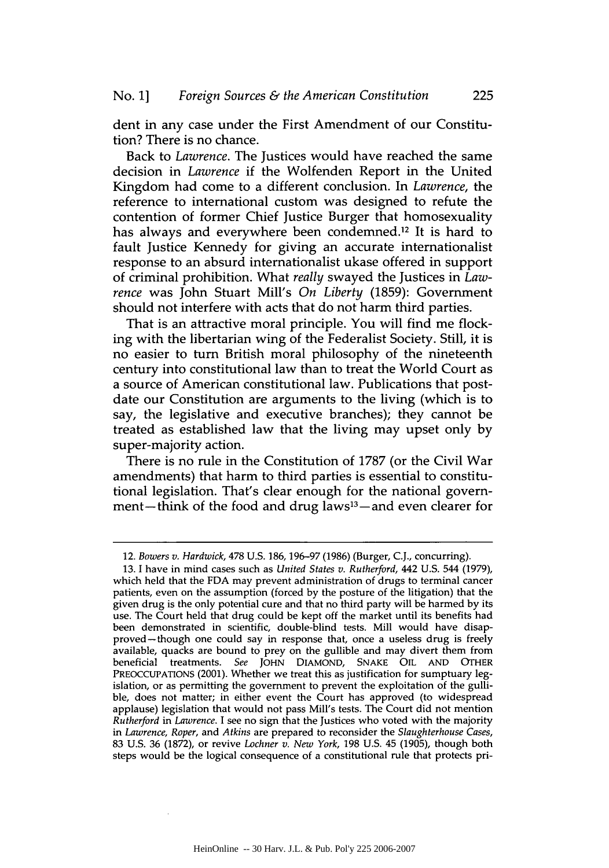dent in any case under the First Amendment of our Constitution? There is no chance.

Back to *Lawrence.* The Justices would have reached the same decision in *Lawrence* if the Wolfenden Report in the United Kingdom had come to a different conclusion. In *Lawrence,* the reference to international custom was designed to refute the contention of former Chief Justice Burger that homosexuality has always and everywhere been condemned.<sup>12</sup> It is hard to fault Justice Kennedy for giving an accurate internationalist response to an absurd internationalist ukase offered in support of criminal prohibition. What *really* swayed the Justices in *Lawrence* was John Stuart Mill's *On Liberty* (1859): Government should not interfere with acts that do not harm third parties.

That is an attractive moral principle. You will find me flocking with the libertarian wing of the Federalist Society. Still, it is no easier to turn British moral philosophy of the nineteenth century into constitutional law than to treat the World Court as a source of American constitutional law. Publications that postdate our Constitution are arguments to the living (which is to say, the legislative and executive branches); they cannot be treated as established law that the living may upset only by super-majority action.

There is no rule in the Constitution of 1787 (or the Civil War amendments) that harm to third parties is essential to constitutional legislation. That's clear enough for the national government-think of the food and drug laws $13$ -and even clearer for

<sup>12.</sup> *Bowers v. Hardwick,* 478 U.S. 186, 196-97 (1986) (Burger, C.J., concurring).

<sup>13.</sup> I have in mind cases such as *United States v. Rutherford,* 442 U.S. 544 (1979), which held that the FDA may prevent administration of drugs to terminal cancer patients, even on the assumption (forced by the posture of the litigation) that the given drug is the only potential cure and that no third party will be harmed by its use. The Court held that drug could be kept off the market until its benefits had been demonstrated in scientific, double-blind tests. Mill would have disapproved-though one could say in response that, once a useless drug is freely available, quacks are bound to prey on the gullible and may divert them from beneficial treatments. *See* JOHN DIAMOND, SNAKE OIL AND OTHER PREOCCUPATIONS (2001). Whether we treat this as justification for sumptuary legislation, or as permitting the government to prevent the exploitation of the gullible, does not matter; in either event the Court has approved (to widespread applause) legislation that would not pass Mill's tests. The Court did not mention *Rutherford in Lawrence.* I see no sign that the Justices who voted with the majority *in Lawrence, Roper, and Atkins* are prepared to reconsider the *Slaughterhouse Cases,* 83 U.S. 36 (1872), or revive *Lochner v. New York,* 198 U.S. 45 (1905), though both steps would be the logical consequence of a constitutional rule that protects pri-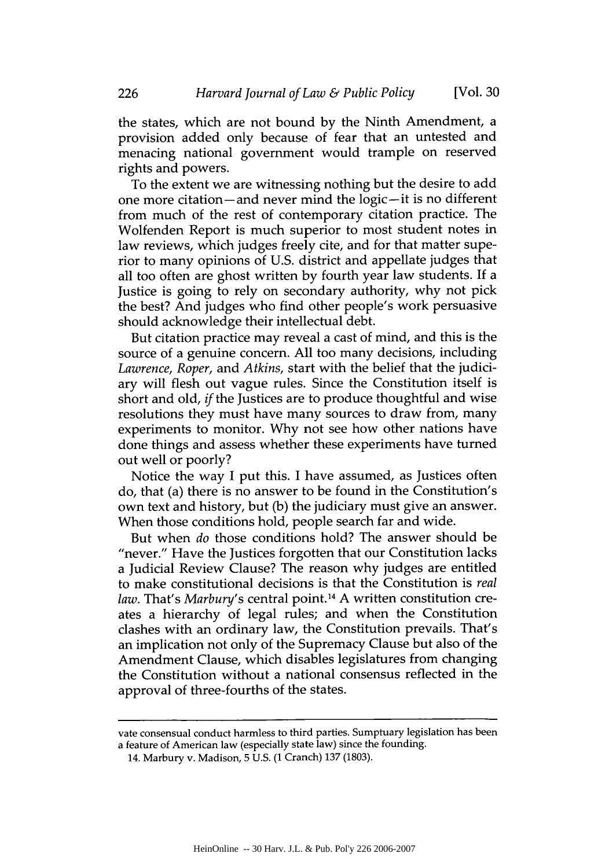the states, which are not bound by the Ninth Amendment, a provision added only because of fear that an untested and menacing national government would trample on reserved rights and powers.

To the extent we are witnessing nothing but the desire to add one more citation-and never mind the logic-it is no different from much of the rest of contemporary citation practice. The Wolfenden Report is much superior to most student notes in law reviews, which judges freely cite, and for that matter superior to many opinions of U.S. district and appellate judges that all too often are ghost written by fourth year law students. If a Justice is going to rely on secondary authority, why not pick the best? And judges who find other people's work persuasive should acknowledge their intellectual debt.

But citation practice may reveal a cast of mind, and this is the source of a genuine concern. All too many decisions, including *Lawrence, Roper,* and *Atkins,* start with the belief that the judiciary will flesh out vague rules. Since the Constitution itself is short and old, *if* the Justices are to produce thoughtful and wise resolutions they must have many sources to draw from, many experiments to monitor. Why not see how other nations have done things and assess whether these experiments have turned out well or poorly?

Notice the way I put this. I have assumed, as Justices often do, that (a) there is no answer to be found in the Constitution's own text and history, but (b) the judiciary must give an answer. When those conditions hold, people search far and wide.

But when *do* those conditions hold? The answer should be "never." Have the Justices forgotten that our Constitution lacks a Judicial Review Clause? The reason why judges are entitled to make constitutional decisions is that the Constitution is *real law.* That's *Marbury's* central point. 14 A written constitution creates a hierarchy of legal rules; and when the Constitution clashes with an ordinary law, the Constitution prevails. That's an implication not only of the Supremacy Clause but also of the Amendment Clause, which disables legislatures from changing the Constitution without a national consensus reflected in the approval of three-fourths of the states.

vate consensual conduct harmless to third parties. Sumptuary legislation has been a feature of American law (especially state law) since the founding.

<sup>14.</sup> Marbury v. Madison, 5 U.S. (1 Cranch) 137 (1803).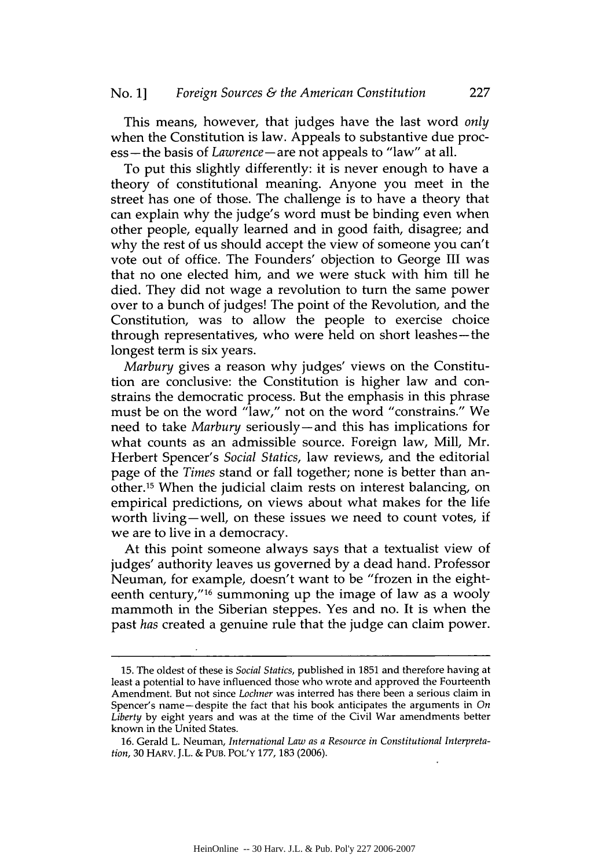This means, however, that judges have the last word *only* when the Constitution is law. Appeals to substantive due process- the basis of *Lawrence-are* not appeals to "law" at all.

To put this slightly differently: it is never enough to have a theory of constitutional meaning. Anyone you meet in the street has one of those. The challenge is to have a theory that can explain why the judge's word must be binding even when other people, equally learned and in good faith, disagree; and why the rest of us should accept the view of someone you can't vote out of office. The Founders' objection to George III was that no one elected him, and we were stuck with him till he died. They did not wage a revolution to turn the same power over to a bunch of judges! The point of the Revolution, and the Constitution, was to allow the people to exercise choice through representatives, who were held on short leashes-the longest term is six years.

*Marbury* gives a reason why judges' views on the Constitution are conclusive: the Constitution is higher law and constrains the democratic process. But the emphasis in this phrase must be on the word "law," not on the word "constrains." We need to take *Marbury* seriously-and this has implications for what counts as an admissible source. Foreign law, Mill, Mr. Herbert Spencer's *Social Statics,* law reviews, and the editorial page of the *Times* stand or fall together; none is better than another.15 When the judicial claim rests on interest balancing, on empirical predictions, on views about what makes for the life worth living-well, on these issues we need to count votes, if we are to live in a democracy.

At this point someone always says that a textualist view of judges' authority leaves us governed by a dead hand. Professor Neuman, for example, doesn't want to be "frozen in the eighteenth century,"<sup>16</sup> summoning up the image of law as a wooly mammoth in the Siberian steppes. Yes and no. It is when the past *has* created a genuine rule that the judge can claim power.

<sup>15.</sup> The oldest of these is *Social Statics,* published in 1851 and therefore having at least a potential to have influenced those who wrote and approved the Fourteenth Amendment. But not since *Lochner* was interred has there been a serious claim in Spencer's name-despite the fact that his book anticipates the arguments in *On Liberty* by eight years and was at the time of the Civil War amendments better known in the United States.

**<sup>16.</sup>** Gerald L. Neuman, *International Law as a Resource in Constitutional Interpretation,* 30 HARV. J.L. & PUB. POL'Y 177, 183 (2006).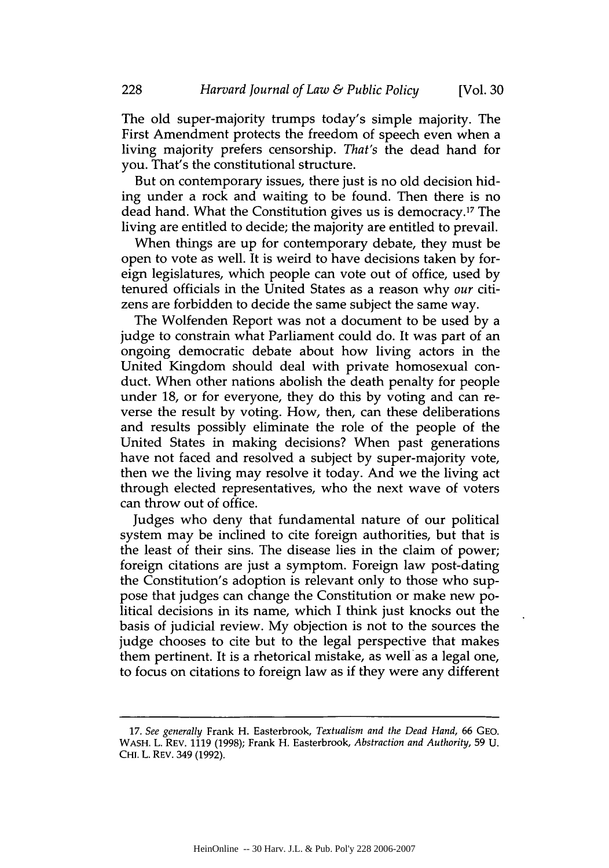The old super-majority trumps today's simple majority. The First Amendment protects the freedom of speech even when a living majority prefers censorship. *That's* the dead hand for you. That's the constitutional structure.

But on contemporary issues, there just is no old decision hiding under a rock and waiting to be found. Then there is no dead hand. What the Constitution gives us is democracy.'7 The living are entitled to decide; the majority are entitled to prevail.

When things are up for contemporary debate, they must be open to vote as well. It is weird to have decisions taken by foreign legislatures, which people can vote out of office, used by tenured officials in the United States as a reason why *our* citizens are forbidden to decide the same subject the same way.

The Wolfenden Report was not a document to be used by a judge to constrain what Parliament could do. It was part of an ongoing democratic debate about how living actors in the United Kingdom should deal with private homosexual conduct. When other nations abolish the death penalty for people under 18, or for everyone, they do this by voting and can reverse the result by voting. How, then, can these deliberations and results possibly eliminate the role of the people of the United States in making decisions? When past generations have not faced and resolved a subject by super-majority vote, then we the living may resolve it today. And we the living act through elected representatives, who the next wave of voters can throw out of office.

Judges who deny that fundamental nature of our political system may be inclined to cite foreign authorities, but that is the least of their sins. The disease lies in the claim of power; foreign citations are just a symptom. Foreign law post-dating the Constitution's adoption is relevant only to those who suppose that judges can change the Constitution or make new political decisions in its name, which I think just knocks out the basis of judicial review. My objection is not to the sources the judge chooses to cite but to the legal perspective that makes them pertinent. It is a rhetorical mistake, as well as a legal one, to focus on citations to foreign law as if they were any different

228

<sup>17.</sup> *See generally* Frank H. Easterbrook, *Textualism and the Dead Hand,* 66 GEO. WASH. L. REV. 1119 (1998); Frank H. Easterbrook, *Abstraction and Authority,* 59 U. **CHI.** L. REV. 349 (1992).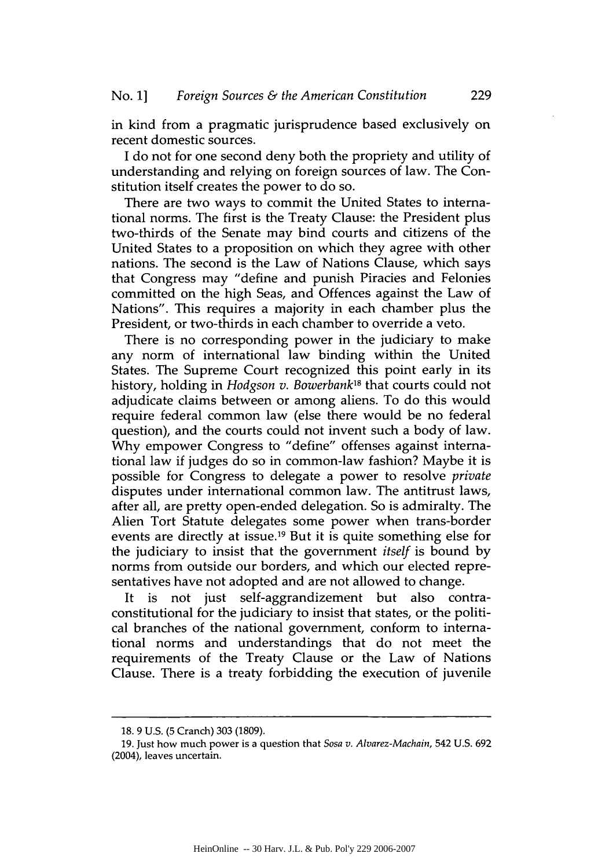in kind from a pragmatic jurisprudence based exclusively on recent domestic sources.

I do not for one second deny both the propriety and utility of understanding and relying on foreign sources of law. The Constitution itself creates the power to do so.

There are two ways to commit the United States to international norms. The first is the Treaty Clause: the President plus two-thirds of the Senate may bind courts and citizens of the United States to a proposition on which they agree with other nations. The second is the Law of Nations Clause, which says that Congress may "define and punish Piracies and Felonies committed on the high Seas, and Offences against the Law of Nations". This requires a majority in each chamber plus the President, or two-thirds in each chamber to override a veto.

There is no corresponding power in the judiciary to make any norm of international law binding within the United States. The Supreme Court recognized this point early in its history, holding in *Hodgson v. Bowerbank'8* that courts could not adjudicate claims between or among aliens. To do this would require federal common law (else there would be no federal question), and the courts could not invent such a body of law. Why empower Congress to "define" offenses against international law if judges do so in common-law fashion? Maybe it is possible for Congress to delegate a power to resolve *private* disputes under international common law. The antitrust laws, after all, are pretty open-ended delegation. So is admiralty. The Alien Tort Statute delegates some power when trans-border events are directly at issue.19 But it is quite something else for the judiciary to insist that the government *itself* is bound by norms from outside our borders, and which our elected representatives have not adopted and are not allowed to change.

It is not just self-aggrandizement but also contraconstitutional for the judiciary to insist that states, or the political branches of the national government, conform to international norms and understandings that do not meet the requirements of the Treaty Clause or the Law of Nations Clause. There is a treaty forbidding the execution of juvenile

<sup>18.</sup> **9** U.S. **(5** Cranch) **303** (1809).

**<sup>19.</sup>** Just how much power is a question that *Sosa v. Alvarez-Machain,* 542 **U.S.** 692 (2004), leaves uncertain.